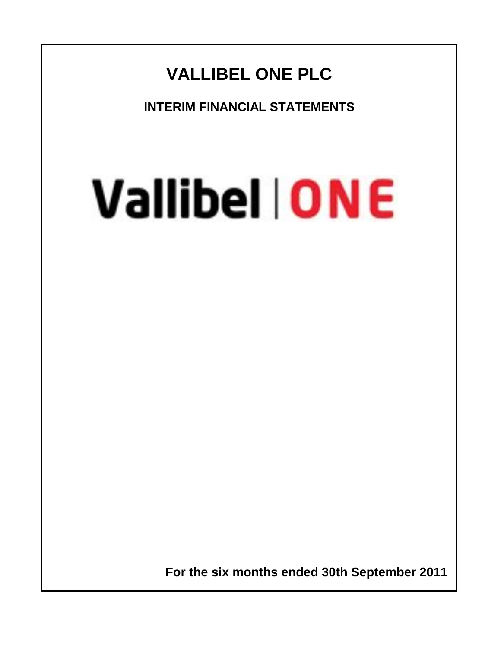# **VALLIBEL ONE PLC**

**INTERIM FINANCIAL STATEMENTS**

# Vallibel | ONE

 **For the six months ended 30th September 2011**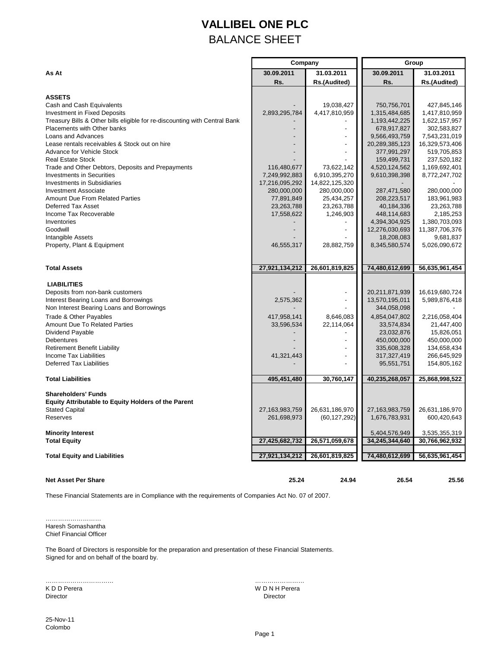## **VALLIBEL ONE PLC** BALANCE SHEET

|                                                                            | Company                       |                               | Group                     |                           |  |  |
|----------------------------------------------------------------------------|-------------------------------|-------------------------------|---------------------------|---------------------------|--|--|
| As At                                                                      | 30.09.2011                    | 31.03.2011                    | 30.09.2011                | 31.03.2011                |  |  |
|                                                                            | Rs.                           | Rs.(Audited)                  | Rs.                       | Rs.(Audited)              |  |  |
|                                                                            |                               |                               |                           |                           |  |  |
| <b>ASSETS</b>                                                              |                               |                               |                           |                           |  |  |
| Cash and Cash Equivalents                                                  |                               | 19,038,427                    | 750,756,701               | 427,845,146               |  |  |
| <b>Investment in Fixed Deposits</b>                                        | 2,893,295,784                 | 4,417,810,959                 | 1,315,484,685             | 1,417,810,959             |  |  |
| Treasury Bills & Other bills eligible for re-discounting with Central Bank |                               |                               | 1,193,442,225             | 1,622,157,957             |  |  |
| Placements with Other banks                                                |                               |                               | 678,917,827               | 302,583,827               |  |  |
| Loans and Advances                                                         |                               |                               | 9,566,493,759             | 7,543,231,019             |  |  |
| Lease rentals receivables & Stock out on hire                              |                               |                               | 20,289,385,123            | 16,329,573,406            |  |  |
| Advance for Vehicle Stock                                                  |                               |                               | 377,991,297               | 519,705,853               |  |  |
| <b>Real Estate Stock</b>                                                   |                               |                               | 159,499,731               | 237,520,182               |  |  |
| Trade and Other Debtors, Deposits and Prepayments                          | 116,480,677                   | 73,622,142                    | 4,520,124,562             | 1,169,692,401             |  |  |
| <b>Investments in Securities</b><br>Investments in Subsidiaries            | 7,249,992,883                 | 6,910,395,270                 | 9,610,398,398             | 8,772,247,702             |  |  |
| <b>Investment Associate</b>                                                | 17,216,095,292<br>280,000,000 | 14,822,125,320<br>280,000,000 | 287,471,580               | 280,000,000               |  |  |
| Amount Due From Related Parties                                            |                               |                               |                           |                           |  |  |
| Deferred Tax Asset                                                         | 77,891,849<br>23,263,788      | 25,434,257<br>23,263,788      | 208,223,517<br>40,184,336 | 183,961,983<br>23,263,788 |  |  |
| Income Tax Recoverable                                                     | 17,558,622                    | 1,246,903                     | 448,114,683               | 2,185,253                 |  |  |
| Inventories                                                                |                               |                               | 4,394,304,925             | 1,380,703,093             |  |  |
| Goodwill                                                                   |                               | $\overline{\phantom{a}}$      | 12,276,030,693            | 11,387,706,376            |  |  |
| Intangible Assets                                                          |                               |                               | 18,208,083                | 9,681,837                 |  |  |
| Property, Plant & Equipment                                                | 46,555,317                    | 28,882,759                    | 8,345,580,574             | 5,026,090,672             |  |  |
|                                                                            |                               |                               |                           |                           |  |  |
|                                                                            |                               |                               |                           |                           |  |  |
| <b>Total Assets</b>                                                        | 27,921,134,212                | 26,601,819,825                | 74,480,612,699            | 56,635,961,454            |  |  |
|                                                                            |                               |                               |                           |                           |  |  |
| <b>LIABILITIES</b>                                                         |                               |                               |                           |                           |  |  |
| Deposits from non-bank customers                                           |                               | $\overline{a}$                | 20,211,871,939            | 16,619,680,724            |  |  |
| Interest Bearing Loans and Borrowings                                      | 2,575,362                     | $\blacksquare$                | 13,570,195,011            | 5,989,876,418             |  |  |
| Non Interest Bearing Loans and Borrowings                                  |                               |                               | 344,058,098               |                           |  |  |
| Trade & Other Payables                                                     | 417,958,141                   | 8,646,083                     | 4,854,047,802             | 2,216,058,404             |  |  |
| <b>Amount Due To Related Parties</b>                                       | 33,596,534                    | 22,114,064                    | 33,574,834                | 21,447,400                |  |  |
| Dividend Payable                                                           |                               |                               | 23,032,876                | 15,826,051                |  |  |
| Debentures                                                                 |                               |                               | 450,000,000               | 450,000,000               |  |  |
| <b>Retirement Benefit Liability</b>                                        |                               |                               | 335,608,328               | 134,658,434               |  |  |
| Income Tax Liabilities                                                     | 41,321,443                    |                               | 317,327,419               | 266,645,929               |  |  |
| Deferred Tax Liabilities                                                   |                               |                               | 95,551,751                | 154,805,162               |  |  |
| <b>Total Liabilities</b>                                                   | 495,451,480                   | 30,760,147                    | 40,235,268,057            | 25,868,998,522            |  |  |
|                                                                            |                               |                               |                           |                           |  |  |
| <b>Shareholders' Funds</b>                                                 |                               |                               |                           |                           |  |  |
| <b>Equity Attributable to Equity Holders of the Parent</b>                 |                               |                               |                           |                           |  |  |
| <b>Stated Capital</b><br>Reserves                                          | 27,163,983,759                | 26,631,186,970                | 27, 163, 983, 759         | 26,631,186,970            |  |  |
|                                                                            | 261,698,973                   | (60, 127, 292)                | 1,676,783,931             | 600,420,643               |  |  |
| <b>Minority Interest</b>                                                   |                               |                               | 5,404,576,949             | 3,535,355,319             |  |  |
| <b>Total Equity</b>                                                        | 27,425,682,732                | 26,571,059,678                | 34,245,344,640            | 30,766,962,932            |  |  |
|                                                                            |                               |                               |                           |                           |  |  |
| <b>Total Equity and Liabilities</b>                                        | 27,921,134,212                | 26,601,819,825                | 74,480,612,699            | 56,635,961,454            |  |  |
|                                                                            |                               |                               |                           |                           |  |  |

**Net Asset Per Share 25.24 24.94 26.54 25.56**

These Financial Statements are in Compliance with the requirements of Companies Act No. 07 of 2007.

……………………… Haresh Somashantha Chief Financial Officer

The Board of Directors is responsible for the preparation and presentation of these Financial Statements. Signed for and on behalf of the board by.

K D D Perera W D N H Perera Director Director

…………………………… ……………………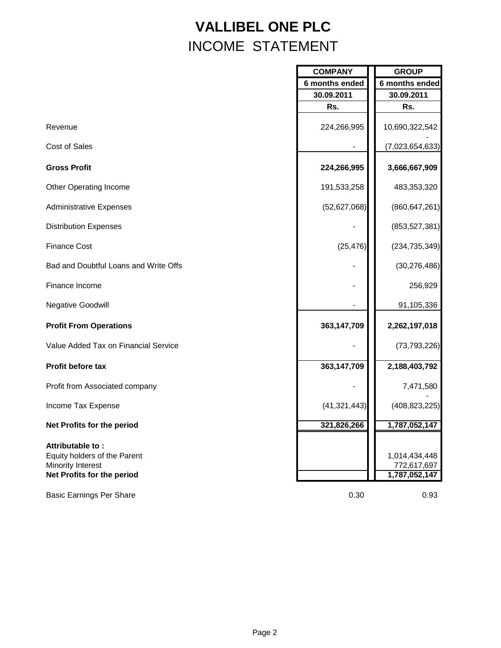# **VALLIBEL ONE PLC** INCOME STATEMENT

|                                                                                                     | <b>COMPANY</b> | <b>GROUP</b>                                  |
|-----------------------------------------------------------------------------------------------------|----------------|-----------------------------------------------|
|                                                                                                     | 6 months ended | 6 months ended                                |
|                                                                                                     | 30.09.2011     | 30.09.2011                                    |
|                                                                                                     | Rs.            | Rs.                                           |
| Revenue                                                                                             | 224,266,995    | 10,690,322,542                                |
| Cost of Sales                                                                                       |                | (7,023,654,633)                               |
| <b>Gross Profit</b>                                                                                 | 224,266,995    | 3,666,667,909                                 |
| <b>Other Operating Income</b>                                                                       | 191,533,258    | 483,353,320                                   |
| <b>Administrative Expenses</b>                                                                      | (52,627,068)   | (860, 647, 261)                               |
| <b>Distribution Expenses</b>                                                                        |                | (853, 527, 381)                               |
| <b>Finance Cost</b>                                                                                 | (25, 476)      | (234, 735, 349)                               |
| Bad and Doubtful Loans and Write Offs                                                               |                | (30, 276, 486)                                |
| Finance Income                                                                                      |                | 256,929                                       |
| <b>Negative Goodwill</b>                                                                            |                | 91,105,336                                    |
| <b>Profit From Operations</b>                                                                       | 363,147,709    | 2,262,197,018                                 |
| Value Added Tax on Financial Service                                                                |                | (73, 793, 226)                                |
| Profit before tax                                                                                   | 363,147,709    | 2,188,403,792                                 |
| Profit from Associated company                                                                      |                | 7,471,580                                     |
| Income Tax Expense                                                                                  | (41, 321, 443) | (408, 823, 225)                               |
| Net Profits for the period                                                                          | 321,826,266    | 1,787,052,147                                 |
| Attributable to:<br>Equity holders of the Parent<br>Minority Interest<br>Net Profits for the period |                | 1,014,434,448<br>772,617,697<br>1,787,052,147 |
| <b>Basic Earnings Per Share</b>                                                                     | 0.30           | 0.93                                          |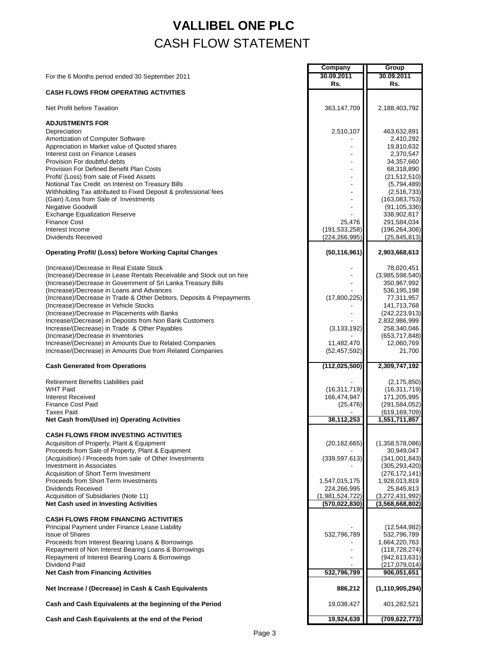## **VALLIBEL ONE PLC** CASH FLOW STATEMENT

|                                                                                                                                        | Company                            | Group                             |
|----------------------------------------------------------------------------------------------------------------------------------------|------------------------------------|-----------------------------------|
| For the 6 Months period ended 30 September 2011                                                                                        | 30.09.2011                         | 30.09.2011                        |
|                                                                                                                                        | Rs.                                | Rs.                               |
| <b>CASH FLOWS FROM OPERATING ACTIVITIES</b>                                                                                            |                                    |                                   |
| Net Profit before Taxation                                                                                                             | 363,147,709                        | 2,188,403,792                     |
| <b>ADJUSTMENTS FOR</b>                                                                                                                 |                                    |                                   |
| Depreciation                                                                                                                           | 2,510,107                          | 463,632,891                       |
| Amortization of Computer Software                                                                                                      |                                    | 2,410,292                         |
| Appreciation in Market value of Quoted shares                                                                                          |                                    | 19,810,632                        |
| Interest cost on Finance Leases                                                                                                        |                                    | 2,370,547                         |
| Provision For doubtful debts                                                                                                           |                                    | 34,357,660                        |
| <b>Provision For Defined Benefit Plan Costs</b><br>Profit/ (Loss) from sale of Fixed Assets                                            |                                    | 68,318,890<br>(21, 512, 510)      |
| Notional Tax Credit on Interest on Treasury Bills                                                                                      |                                    | (5,794,489)                       |
| Withholding Tax attributed to Fixed Deposit & professional fees                                                                        |                                    | (2,516,733)                       |
| (Gain) /Loss from Sale of Investments                                                                                                  |                                    | (163,083,753)                     |
| <b>Negative Goodwill</b>                                                                                                               |                                    | (91, 105, 336)                    |
| <b>Exchange Equalization Reserve</b>                                                                                                   |                                    | 338,902,817                       |
| <b>Finance Cost</b>                                                                                                                    | 25,476                             | 291,584,034                       |
| Interest Income<br>Dividends Received                                                                                                  | (191, 533, 258)<br>(224, 266, 995) | (196, 264, 306)<br>(25, 845, 813) |
| <b>Operating Profit/ (Loss) before Working Capital Changes</b>                                                                         | (50, 116, 961)                     | 2,903,668,613                     |
|                                                                                                                                        |                                    |                                   |
| (Increase)/Decrease in Real Estate Stock                                                                                               |                                    | 78,020,451                        |
| (Increase)/Decrease in Lease Rentals Receivable and Stock out on hire<br>(Increase)/Decrease in Government of Sri Lanka Treasury Bills |                                    | (3,985,598,540)<br>350,967,992    |
| (Increase)/Decrease in Loans and Advances                                                                                              |                                    | 536, 195, 198                     |
| (Increase)/Decrease in Trade & Other Debtors, Deposits & Prepayments                                                                   | (17,800,225)                       | 77,311,957                        |
| (Increase)/Decrease in Vehicle Stocks                                                                                                  |                                    | 141,713,768                       |
| (Increase)/Decrease in Placements with Banks                                                                                           |                                    | (242, 223, 913)                   |
| Increase/(Decrease) in Deposits from Non Bank Customers                                                                                |                                    | 2,832,986,999                     |
| Increase/(Decrease) in Trade & Other Payables                                                                                          | (3, 133, 192)                      | 258,340,046                       |
| (Increase)/Decrease in Inventories<br>Increase/(Decrease) in Amounts Due to Related Companies                                          | 11,482,470                         | (653, 717, 848)<br>12,060,769     |
| Increase/(Decrease) in Amounts Due from Related Companies                                                                              | (52, 457, 592)                     | 21,700                            |
| <b>Cash Generated from Operations</b>                                                                                                  | (112, 025, 500)                    | 2,309,747,192                     |
|                                                                                                                                        |                                    |                                   |
| Retirement Benefits Liabilities paid                                                                                                   |                                    | (2, 175, 850)                     |
| <b>WHT Paid</b>                                                                                                                        | (16, 311, 719)                     | (16, 311, 719)                    |
| <b>Interest Received</b>                                                                                                               | 166,474,947                        | 171,205,995                       |
| <b>Finance Cost Paid</b><br><b>Taxes Paid</b>                                                                                          | (25, 476)                          | (291, 584, 052)                   |
| Net Cash from/(Used in) Operating Activities                                                                                           | 38, 112, 253                       | (619, 169, 709)<br>1,551,711,857  |
| <b>CASH FLOWS FROM INVESTING ACTIVITIES</b>                                                                                            |                                    |                                   |
| Acquisition of Property, Plant & Equipment                                                                                             | (20, 182, 665)                     | (1,358,578,086)                   |
| Proceeds from Sale of Property, Plant & Equipment                                                                                      |                                    | 30,949,047                        |
| (Acquisition) / Proceeds from sale of Other Investments                                                                                | (339, 597, 613)                    | (341,001,843)                     |
| <b>Investment in Associates</b>                                                                                                        |                                    | (305, 293, 420)                   |
| Acquisition of Short Term Investment                                                                                                   |                                    | (276, 172, 141)                   |
| Proceeds from Short Term Investments<br>Dividends Received                                                                             | 1,547,015,175                      | 1,928,013,819                     |
| Acquisition of Subsidiaries (Note 11)                                                                                                  | 224,266,995<br>(1,981,524,722)     | 25,845,813<br>(3,272,431,992)     |
| <b>Net Cash used in Investing Activities</b>                                                                                           | (570, 022, 830)                    | (3,568,668,802)                   |
| <b>CASH FLOWS FROM FINANCING ACTIVITIES</b>                                                                                            |                                    |                                   |
| Principal Payment under Finance Lease Liability                                                                                        |                                    | (12, 544, 982)                    |
| <b>Issue of Shares</b>                                                                                                                 | 532,796,789                        | 532,796,789                       |
| Proceeds from Interest Bearing Loans & Borrowings                                                                                      |                                    | 1,664,220,763                     |
| Repayment of Non Interest Bearing Loans & Borrowings                                                                                   |                                    | (118, 728, 274)                   |
| Repayment of Interest Bearing Loans & Borrowings                                                                                       |                                    | (942, 613, 631)                   |
| Dividend Paid<br><b>Net Cash from Financing Activities</b>                                                                             | 532,796,789                        | (217,079,014)                     |
|                                                                                                                                        |                                    | 906,051,651                       |
| Net Increase / (Decrease) in Cash & Cash Equivalents                                                                                   | 886,212                            | (1, 110, 905, 294)                |
| Cash and Cash Equivalents at the beginning of the Period                                                                               | 19,038,427                         | 401,282,521                       |
| Cash and Cash Equivalents at the end of the Period                                                                                     | 19,924,639                         | (709, 622, 773)                   |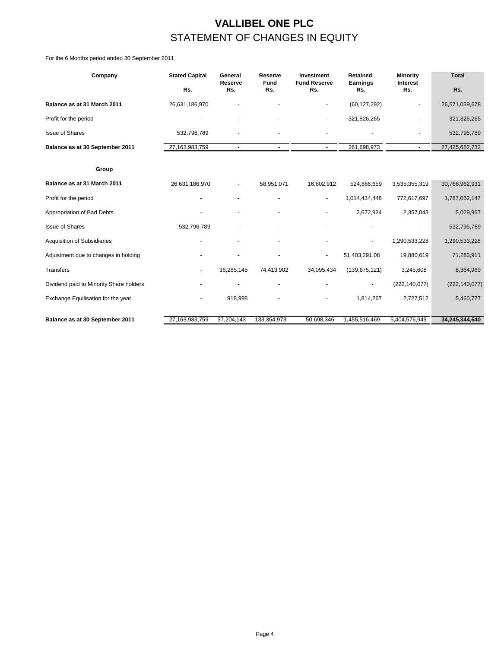## **VALLIBEL ONE PLC** STATEMENT OF CHANGES IN EQUITY

For the 6 Months period ended 30 September 2011

| Company                                 | <b>Stated Capital</b> | General<br>Reserve | Reserve<br><b>Fund</b> | Investment<br><b>Fund Reserve</b> | <b>Retained</b><br>Earnings | Minority<br>Interest | <b>Total</b>    |  |
|-----------------------------------------|-----------------------|--------------------|------------------------|-----------------------------------|-----------------------------|----------------------|-----------------|--|
|                                         | Rs.                   | Rs.                | Rs.                    | Rs.                               | Rs.                         | Rs.                  | Rs.             |  |
| Balance as at 31 March 2011             | 26,631,186,970        |                    |                        |                                   | (60, 127, 292)              |                      | 26,571,059,678  |  |
| Profit for the period                   |                       |                    |                        |                                   | 321,826,265                 |                      | 321,826,265     |  |
| <b>Issue of Shares</b>                  | 532,796,789           |                    |                        |                                   |                             |                      | 532,796,789     |  |
| Balance as at 30 September 2011         | 27,163,983,759        | $\mathbf{r}$       | $\sim$                 | $\sim$                            | 261,698,973                 | $\sim$               | 27,425,682,732  |  |
|                                         |                       |                    |                        |                                   |                             |                      |                 |  |
| Group                                   |                       |                    |                        |                                   |                             |                      |                 |  |
| Balance as at 31 March 2011             | 26,631,186,970        |                    | 58,951,071             | 16,602,912                        | 524,866,659                 | 3,535,355,319        | 30,766,962,931  |  |
| Profit for the period                   |                       |                    |                        | $\blacksquare$                    | 1,014,434,448               | 772,617,697          | 1,787,052,147   |  |
| Appropriation of Bad Debts              |                       |                    |                        |                                   | 2,672,924                   | 2,357,043            | 5,029,967       |  |
| <b>Issue of Shares</b>                  | 532,796,789           |                    |                        |                                   |                             |                      | 532,796,789     |  |
| Acquisition of Subsidiaries             |                       |                    | ٠                      |                                   | ٠                           | 1,290,533,228        | 1,290,533,228   |  |
| Adjustment due to changes in holding    |                       |                    |                        | $\blacksquare$                    | 51,403,291.08               | 19,880,619           | 71,283,911      |  |
| <b>Transfers</b>                        | $\blacksquare$        | 36,285,145         | 74,413,902             | 34,095,434                        | (139, 675, 121)             | 3,245,608            | 8,364,969       |  |
| Dividend paid to Minority Share holders |                       |                    |                        |                                   |                             | (222, 140, 077)      | (222, 140, 077) |  |
| Exchange Equilisation for the year      |                       | 918,998            |                        |                                   | 1,814,267                   | 2,727,512            | 5,460,777       |  |
|                                         |                       |                    |                        |                                   |                             |                      |                 |  |
| Balance as at 30 September 2011         | 27.163.983.759        | 37,204,143         | 133,364,973            | 50,698,346                        | 1,455,516,469               | 5.404.576.949        | 34,245,344,640  |  |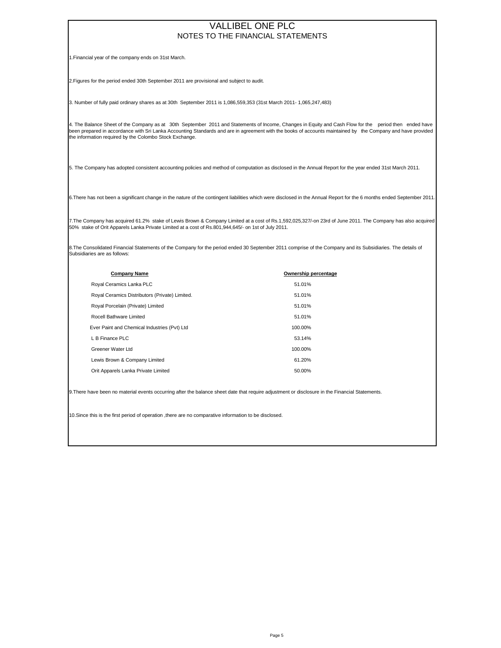#### NOTES TO THE FINANCIAL STATEMENTS VALLIBEL ONE PLC

1.Financial year of the company ends on 31st March.

2.Figures for the period ended 30th September 2011 are provisional and subject to audit.

3. Number of fully paid ordinary shares as at 30th September 2011 is 1,086,559,353 (31st March 2011- 1,065,247,483)

4. The Balance Sheet of the Company as at 30th September 2011 and Statements of Income, Changes in Equity and Cash Flow for the period then ended have been prepared in accordance with Sri Lanka Accounting Standards and are in agreement with the books of accounts maintained by the Company and have provided the information required by the Colombo Stock Exchange.

5. The Company has adopted consistent accounting policies and method of computation as disclosed in the Annual Report for the year ended 31st March 2011.

6.There has not been a significant change in the nature of the contingent liabilities which were disclosed in the Annual Report for the 6 months ended September 2011.

7.The Company has acquired 61.2% stake of Lewis Brown & Company Limited at a cost of Rs.1,592,025,327/-on 23rd of June 2011. The Company has also acquired 50% stake of Orit Apparels Lanka Private Limited at a cost of Rs.801,944,645/- on 1st of July 2011.

8.The Consolidated Financial Statements of the Company for the period ended 30 September 2011 comprise of the Company and its Subsidiaries. The details of Subsidiaries are as follows:

| <b>Company Name</b>                            | Ownership percentage |
|------------------------------------------------|----------------------|
| Royal Ceramics Lanka PLC                       | 51.01%               |
| Royal Ceramics Distributors (Private) Limited. | 51.01%               |
| Royal Porcelain (Private) Limited              | 51.01%               |
| Rocell Bathware Limited                        | 51.01%               |
| Ever Paint and Chemical Industries (Pvt) Ltd   | 100.00%              |
| L B Finance PLC                                | 53.14%               |
| Greener Water Ltd                              | 100.00%              |
| Lewis Brown & Company Limited                  | 61.20%               |
| Orit Apparels Lanka Private Limited            | 50.00%               |

9.There have been no material events occurring after the balance sheet date that require adjustment or disclosure in the Financial Statements.

10.Since this is the first period of operation ,there are no comparative information to be disclosed.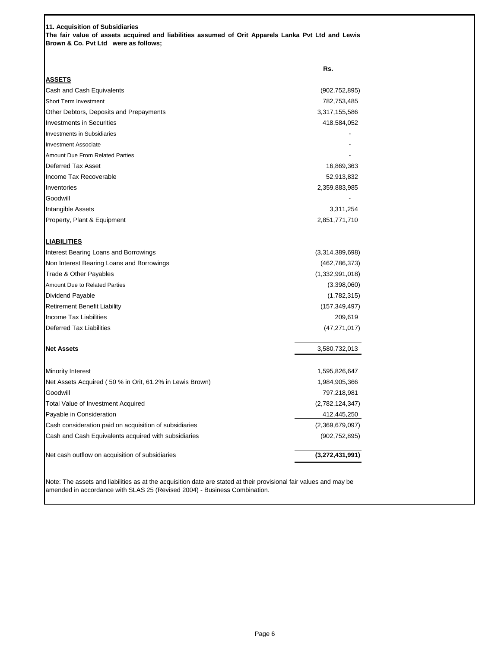**11. Acquisition of Subsidiaries The fair value of assets acquired and liabilities assumed of Orit Apparels Lanka Pvt Ltd and Lewis Brown & Co. Pvt Ltd were as follows;**

|                                                          | Rs.             |
|----------------------------------------------------------|-----------------|
| <u>ASSETS</u>                                            |                 |
| Cash and Cash Equivalents                                | (902, 752, 895) |
| <b>Short Term Investment</b>                             | 782,753,485     |
| Other Debtors, Deposits and Prepayments                  | 3,317,155,586   |
| <b>Investments in Securities</b>                         | 418,584,052     |
| <b>Investments in Subsidiaries</b>                       |                 |
| <b>Investment Associate</b>                              |                 |
| <b>Amount Due From Related Parties</b>                   |                 |
| <b>Deferred Tax Asset</b>                                | 16,869,363      |
| Income Tax Recoverable                                   | 52,913,832      |
| Inventories                                              | 2,359,883,985   |
| Goodwill                                                 |                 |
| Intangible Assets                                        | 3,311,254       |
| Property, Plant & Equipment                              | 2,851,771,710   |
| <u>LIABILITIES</u>                                       |                 |
| Interest Bearing Loans and Borrowings                    | (3,314,389,698) |
| Non Interest Bearing Loans and Borrowings                | (462, 786, 373) |
| Trade & Other Payables                                   | (1,332,991,018) |
| <b>Amount Due to Related Parties</b>                     | (3,398,060)     |
| Dividend Payable                                         | (1,782,315)     |
| <b>Retirement Benefit Liability</b>                      | (157, 349, 497) |
| Income Tax Liabilities                                   | 209,619         |
| Deferred Tax Liabilities                                 | (47, 271, 017)  |
| Net Assets                                               | 3,580,732,013   |
| Minority Interest                                        | 1,595,826,647   |
| Net Assets Acquired (50 % in Orit, 61.2% in Lewis Brown) | 1,984,905,366   |
| Goodwill                                                 | 797,218,981     |
| Total Value of Investment Acquired                       | (2,782,124,347) |
| Payable in Consideration                                 | 412,445,250     |
| Cash consideration paid on acquisition of subsidiaries   | (2,369,679,097) |
| Cash and Cash Equivalents acquired with subsidiaries     | (902, 752, 895) |
| Net cash outflow on acquisition of subsidiaries          | (3,272,431,991) |

Note: The assets and liabilities as at the acquisition date are stated at their provisional fair values and may be amended in accordance with SLAS 25 (Revised 2004) - Business Combination.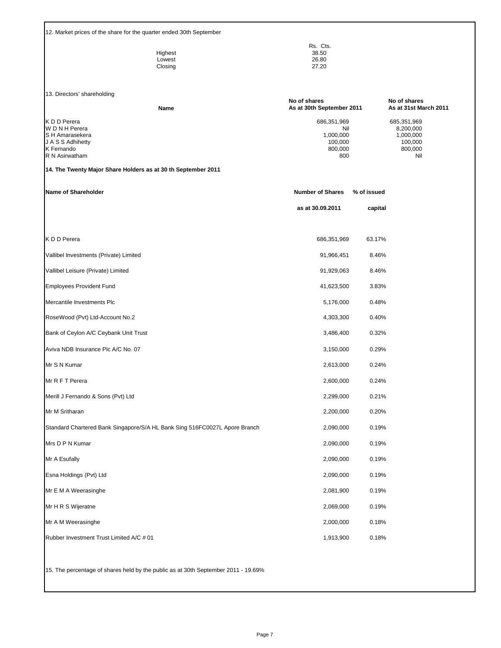12. Market prices of the share for the quarter ended 30th September

|         | Rs. Cts. |
|---------|----------|
| Highest | 38.50    |
| Lowest  | 26.80    |
| Closing | 27.20    |

13. Directors' shareholding

| <b>13. DIFFORD'S SHALLON TO LIGHT</b> |      | No of shares              | No of shares          |  |  |
|---------------------------------------|------|---------------------------|-----------------------|--|--|
|                                       | Name | As at 30th September 2011 | As at 31st March 2011 |  |  |
| K D D Perera                          |      | 686,351,969               | 685,351,969           |  |  |
| W D N H Perera                        |      | Nil                       | 8,200,000             |  |  |
| S H Amarasekera                       |      | 1.000.000                 | 1.000.000             |  |  |
| J A S S Adhihetty                     |      | 100.000                   | 100.000               |  |  |
| K Fernando                            |      | 800.000                   | 800,000               |  |  |
| R N Asirwatham                        |      | 800                       | Nil                   |  |  |
|                                       |      |                           |                       |  |  |

#### **14. The Twenty Major Share Holders as at 30 th September 2011**

| Name of Shareholder                                                        | <b>Number of Shares</b> | % of issued |  |
|----------------------------------------------------------------------------|-------------------------|-------------|--|
|                                                                            | as at 30.09.2011        | capital     |  |
|                                                                            |                         |             |  |
| K D D Perera                                                               | 686,351,969             | 63.17%      |  |
| Vallibel Investments (Private) Limited                                     | 91,966,451              | 8.46%       |  |
| Vallibel Leisure (Private) Limited                                         | 91,929,063              | 8.46%       |  |
| <b>Employees Provident Fund</b>                                            | 41,623,500              | 3.83%       |  |
| Mercantile Investments Plc                                                 | 5,176,000               | 0.48%       |  |
| RoseWood (Pvt) Ltd-Account No.2                                            | 4,303,300               | 0.40%       |  |
| Bank of Ceylon A/C Ceybank Unit Trust                                      | 3,486,400               | 0.32%       |  |
| Aviva NDB Insurance Plc A/C No. 07                                         | 3,150,000               | 0.29%       |  |
| Mr S N Kumar                                                               | 2,613,000               | 0.24%       |  |
| Mr R F T Perera                                                            | 2,600,000               | 0.24%       |  |
| Merill J Fernando & Sons (Pvt) Ltd                                         | 2,299,000               | 0.21%       |  |
| Mr M Sritharan                                                             | 2,200,000               | 0.20%       |  |
| Standard Chartered Bank Singapore/S/A HL Bank Sing 516FC0027L Apore Branch | 2,090,000               | 0.19%       |  |
| Mrs D P N Kumar                                                            | 2,090,000               | 0.19%       |  |
| Mr A Esufally                                                              | 2,090,000               | 0.19%       |  |
| Esna Holdings (Pvt) Ltd                                                    | 2,090,000               | 0.19%       |  |
| Mr E M A Weerasinghe                                                       | 2,081,900               | 0.19%       |  |
| Mr H R S Wijeratne                                                         | 2,069,000               | 0.19%       |  |
| Mr A M Weerasinghe                                                         | 2,000,000               | 0.18%       |  |
| Rubber Investment Trust Limited A/C # 01                                   | 1,913,900               | 0.18%       |  |

15. The percentage of shares held by the public as at 30th September 2011 - 19.69%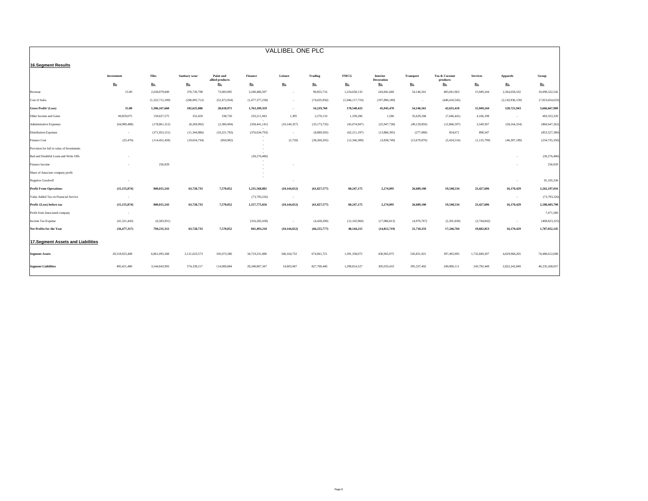| VALLIBEL ONE PLC                           |                          |                 |                |                              |                 |                |                |                 |                        |                  |                           |                 |                 |                 |
|--------------------------------------------|--------------------------|-----------------|----------------|------------------------------|-----------------|----------------|----------------|-----------------|------------------------|------------------|---------------------------|-----------------|-----------------|-----------------|
| <b>16.Segment Results</b>                  |                          |                 |                |                              |                 |                |                |                 |                        |                  |                           |                 |                 |                 |
|                                            |                          |                 |                |                              |                 |                |                |                 |                        |                  |                           |                 |                 |                 |
|                                            | <b>Investment</b>        | <b>Tiles</b>    | Sanitary wear  | Paint and<br>allied products | <b>Finance</b>  | Leisure        | Trading        | <b>FMCG</b>     | Interior<br>Decoration | <b>Transport</b> | Tea & Coconut<br>products | <b>Services</b> | <b>Apparels</b> | Group           |
|                                            | Rs.                      | Rs.             | Rs.            | Rs.                          | Rs.             | Rs.            | Rs.            | Rs.             | Rs.                    | Rs.              | Rs.                       | Rs.             | Rs.             | Rs.             |
| Revenue                                    | 15.00                    | 2,628,879,849   | 370,720,798    | 73,083,905                   | 3,240,486,597   | - 1            | 90,855,716     | 1,224,658,133   | 243,841,660            | 54,146,561       | 483,041,963               | 15,949,244      | 2,264,658,102   | 10,690,322,542  |
| Cost of Sales                              |                          | (1,322,712,189) | (268,095,712)  | (52, 472, 934)               | (1,477,377,238) | $\sim$         | (74, 635, 956) | (1,046,117,710) | (197, 896, 189)        | $\sim$           | (440, 410, 545)           |                 | (2,143,936,159) | (7,023,654,633) |
| <b>Gross Profit/ (Loss)</b>                | 15.00                    | 1,306,167,660   | 102,625,086    | 20,610,971                   | 1,763,109,359   | $\sim$         | 16,219,760     | 178,540,423     | 45,945,470             | 54,146,561       | 42,631,418                | 15,949,244      | 120,721,943     | 3,666,667,909   |
| Other Income and Gains                     | 49,859,075               | 159,657,575     | 352,459        | 338,750                      | 233,211,943     | 1,395          | 2,276,110      | 1,339,286       | 1,506                  | 35,629,268       | (7,646,441)               | 4,166,198       | $\sim$          | 483,353,320     |
| Administrative Expenses                    | (64,989,488)             | (178, 861, 312) | (8,269,092)    | (2,306,904)                  | (358, 441, 141) | (10, 140, 327) | (33, 173, 735) | (45,074,947)    | (25,947,738)           | (49, 129, 850)   | (12, 866, 597)            | 3,549,507       | (58, 164, 324)  | (860, 647, 262) |
| <b>Distribution Expenses</b>               | $\sim$                   | (371,953,151)   | (11,344,986)   | (10, 221, 783)               | (376, 034, 793) | $\sim$         | (8,889,505)    | (62, 211, 197)  | (13,886,395)           | (277,008)        | 854,671                   | 898,547         |                 | (853, 527, 380) |
| Finance Cost                               | (25, 476)                | (114, 452, 458) | (19, 634, 734) | (850,982)                    |                 | (5,720)        | (38, 260, 205) | (12,346,389)    | (3,838,749)            | (13,679,870)     | (3,424,516)               | (1, 135, 799)   | (46, 387, 189)  | (234, 735, 350) |
| Provision for fall in value of Investments |                          |                 |                |                              |                 |                |                |                 |                        |                  |                           |                 |                 |                 |
| Bad and Doubtful Loans and Write Offs      |                          |                 |                |                              | (30, 276, 486)  |                |                |                 |                        |                  |                           |                 | $\sim$          | (30, 276, 486)  |
| Finance Income                             |                          | 256,929         |                |                              |                 |                |                |                 |                        |                  |                           |                 |                 | 256,929         |
| Share of Associate company profit          |                          |                 |                |                              |                 |                |                |                 |                        |                  |                           |                 |                 |                 |
| Negative Goodwill                          | ٠.                       |                 |                |                              |                 | $\sim$         |                |                 |                        |                  |                           |                 | $\sim$          | 91,105,336      |
| <b>Profit From Operations</b>              | (15, 155, 874)           | 800, 815, 243   | 63,728,733     | 7,570,052                    | 1,231,568,882   | (10, 144, 652) | (61, 827, 577) | 60,247,175      | 2,274,095              | 26,689,100       | 19,548,534                | 23,427,696      | 16,170,429      | 2,262,197,016   |
| Value Added Tax on Financial Service       | $\sim$                   |                 |                |                              | (73,793,226)    | $\sim$         |                |                 |                        |                  |                           |                 | $\sim$          | (73, 793, 226)  |
| Profit /(Loss) before tax                  | (15, 155, 874)           | 800, 815, 243   | 63,728,733     | 7,570,052                    | 1,157,775,656   | (10, 144, 652) | (61, 827, 577) | 60,247,175      | 2,274,095              | 26,689,100       | 19,548,534                | 23,427,696      | 16,170,429      | 2,188,403,790   |
| Profit from Associated company             | $\overline{\phantom{a}}$ |                 |                |                              |                 |                |                |                 |                        |                  |                           |                 |                 | 7,471,580       |
| Income Tax Expense                         | (41, 321, 443)           | (6,583,931)     |                |                              | (316, 282, 438) | $\sim$         | (4,428,200)    | (12, 102, 960)  | (17,086,813)           | (4,970,767)      | (2,301,830)               | (3,744,842)     | $\sim$          | (408, 823, 225) |
| <b>Net Profits for the Year</b>            | (56, 477, 317)           | 794,231,312     | 63,728,733     | 7,570,052                    | 841,493,218     | (10, 144, 652) | (66, 255, 777) | 48,144,215      | (14, 812, 719)         | 21,718,333       | 17,246,704                | 19,682,853      | 16,170,429      | 1,787,052,145   |
|                                            |                          |                 |                |                              |                 |                |                |                 |                        |                  |                           |                 |                 |                 |
| 17. Segment Assets and Liabilities         |                          |                 |                |                              |                 |                |                |                 |                        |                  |                           |                 |                 |                 |
| <b>Segment Assets</b>                      | 20,518,925,408           | 6,861,093,368   | 2,121,623,573  | 105,073,380                  | 34,719,231,080  | 346,164,732    | 674,061,721    | 1,391,338,072   | 436,965,975            | 545,851,921      | 397,465,995               | 1,732,849,207   | 4,629,968,265   | 74,480,612,698  |
| <b>Segment Liabilities</b>                 | 495,451,480              | 3,544,843,993   | 574,339,217    | 114,000,884                  | 29,348,807,347  | 14,003,947     | 827,700,440    | 1,299,814,527   | 305,033,410            | 395,337,402      | 249,900,111               | 243,792,449     | 2,822,242,849   | 40,235,268,057  |